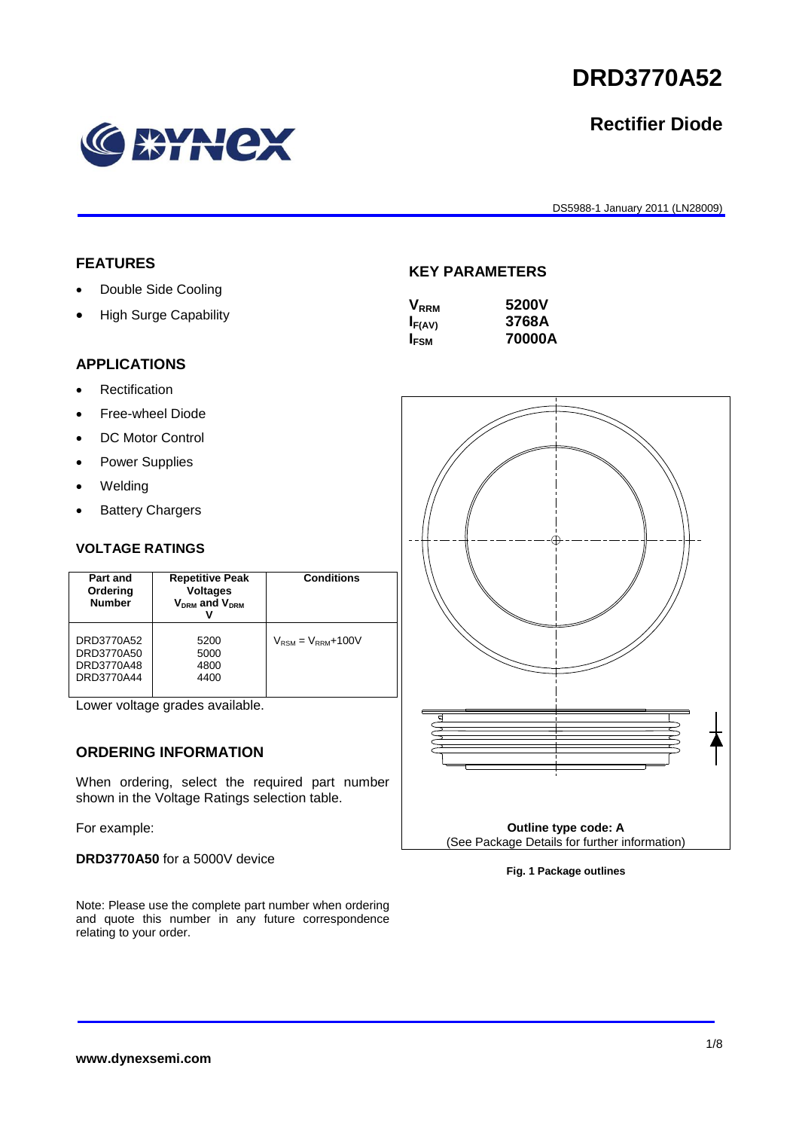1/8

# **DRD3770A52**

## **Rectifier Diode**

DS5988-1 January 2011 (LN28009)

## **FEATURES**

- Double Side Cooling
- High Surge Capability

#### **KEY PARAMETERS**

| 5200V  |
|--------|
| 3768A  |
| 70000A |
|        |

### **APPLICATIONS**

- Rectification
- Free-wheel Diode
- DC Motor Control
- Power Supplies
- Welding
- Battery Chargers

#### **VOLTAGE RATINGS**

| Part and<br>Ordering<br><b>Number</b>                | <b>Repetitive Peak</b><br><b>Voltages</b><br>$V_{DRM}$ and $V_{DRM}$ | <b>Conditions</b>                        |
|------------------------------------------------------|----------------------------------------------------------------------|------------------------------------------|
| DRD3770A52<br>DRD3770A50<br>DRD3770A48<br>DRD3770A44 | 5200<br>5000<br>4800<br>4400                                         | $V_{\text{RSM}} = V_{\text{RRM}} + 100V$ |

Lower voltage grades available.

#### **ORDERING INFORMATION**

When ordering, select the required part number shown in the Voltage Ratings selection table.

For example:

**DRD3770A50** for a 5000V device

Note: Please use the complete part number when ordering and quote this number in any future correspondence relating to your order.



**Fig. 1 Package outlines**

# **WHEX**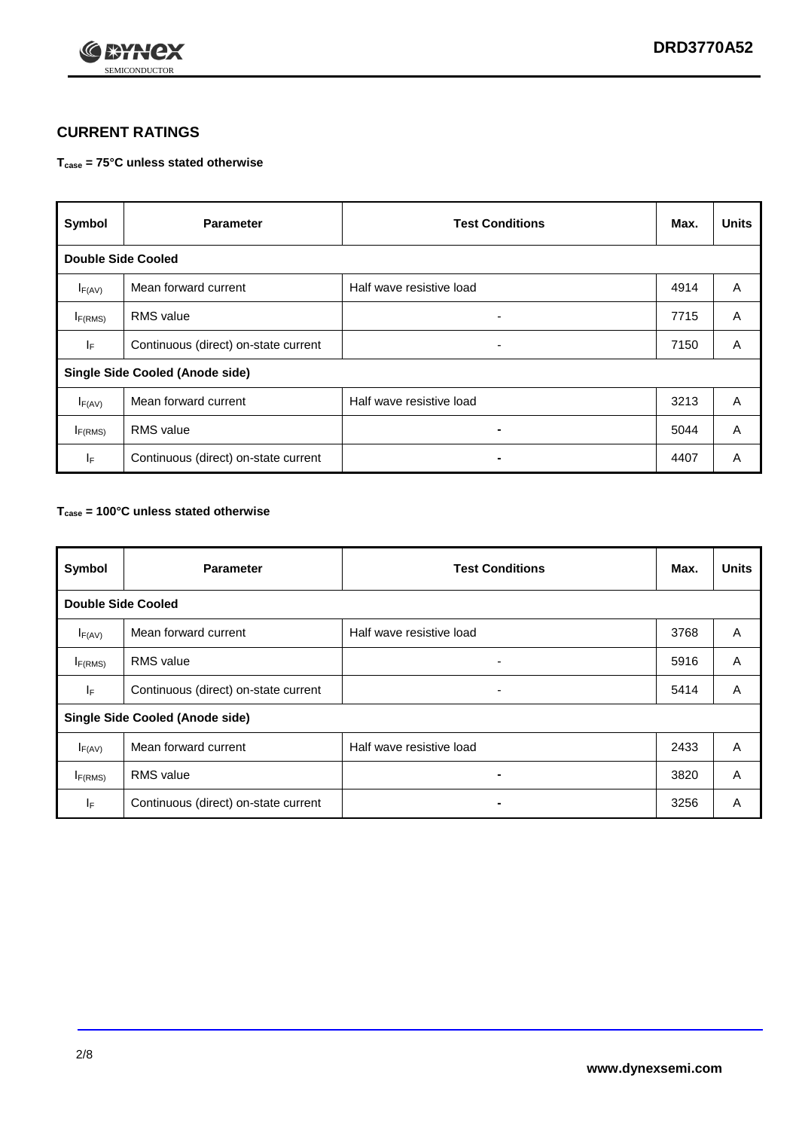

#### **CURRENT RATINGS**

#### **Tcase = 75°C unless stated otherwise**

| Symbol                                 | <b>Parameter</b>                     | <b>Test Conditions</b>   | Max. | <b>Units</b> |  |  |  |
|----------------------------------------|--------------------------------------|--------------------------|------|--------------|--|--|--|
|                                        | <b>Double Side Cooled</b>            |                          |      |              |  |  |  |
| $I_{F(AV)}$                            | Mean forward current                 | Half wave resistive load | 4914 | A            |  |  |  |
| $I_{F(RMS)}$                           | <b>RMS</b> value                     | ۰.                       | 7715 | A            |  |  |  |
| IF.                                    | Continuous (direct) on-state current | -                        | 7150 | A            |  |  |  |
| <b>Single Side Cooled (Anode side)</b> |                                      |                          |      |              |  |  |  |
| $I_{F(AV)}$                            | Mean forward current                 | Half wave resistive load | 3213 | A            |  |  |  |
| I <sub>F(RMS)</sub>                    | <b>RMS</b> value                     |                          | 5044 | A            |  |  |  |
| IF.                                    | Continuous (direct) on-state current |                          | 4407 | A            |  |  |  |

#### **Tcase = 100°C unless stated otherwise**

| Symbol                                 | <b>Parameter</b>                     | <b>Test Conditions</b>   | Max. | <b>Units</b> |  |  |  |
|----------------------------------------|--------------------------------------|--------------------------|------|--------------|--|--|--|
|                                        | <b>Double Side Cooled</b>            |                          |      |              |  |  |  |
| $I_{F(AV)}$                            | Mean forward current                 | Half wave resistive load | 3768 | A            |  |  |  |
| $I_{F(RMS)}$                           | <b>RMS</b> value                     | ٠                        | 5916 | A            |  |  |  |
| lF.                                    | Continuous (direct) on-state current | ۰                        | 5414 | A            |  |  |  |
| <b>Single Side Cooled (Anode side)</b> |                                      |                          |      |              |  |  |  |
| $I_{F(AV)}$                            | Mean forward current                 | Half wave resistive load | 2433 | A            |  |  |  |
| I <sub>F(RMS)</sub>                    | <b>RMS</b> value                     | $\blacksquare$           | 3820 | A            |  |  |  |
| IF.                                    | Continuous (direct) on-state current | $\blacksquare$           | 3256 | A            |  |  |  |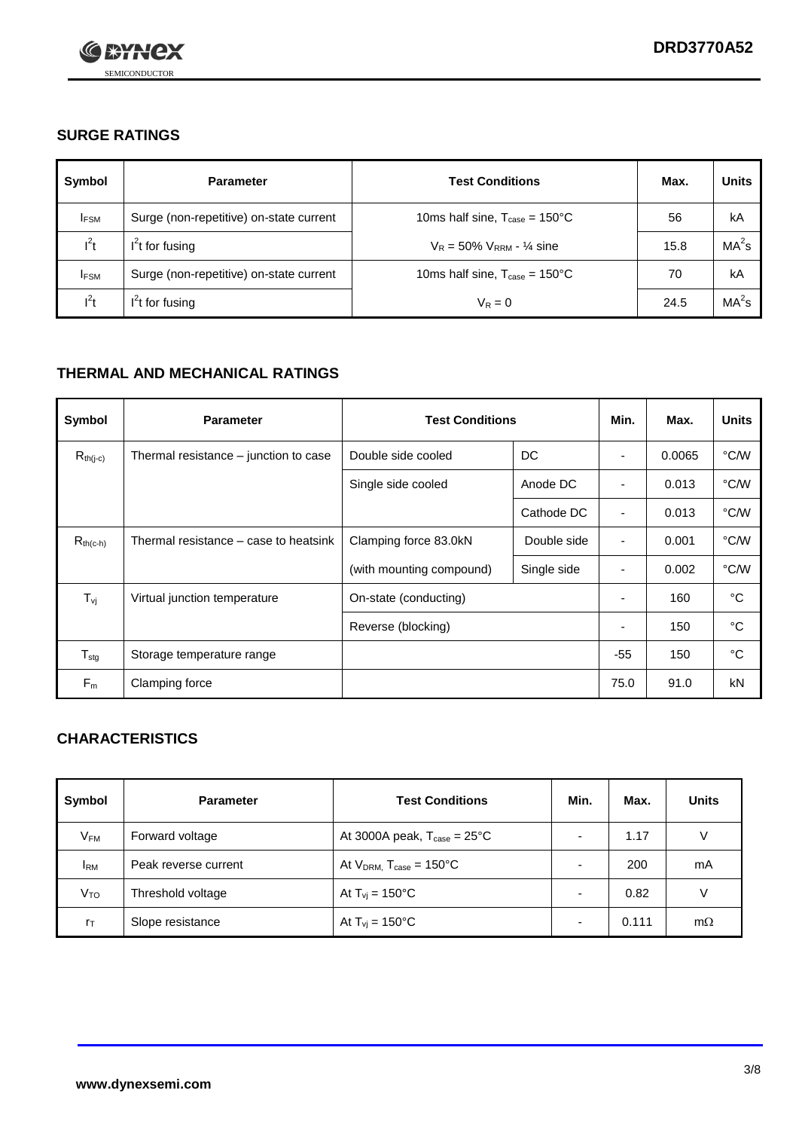

#### **SURGE RATINGS**

| Symbol      | <b>Parameter</b>                        | <b>Test Conditions</b>                            | Max. | <b>Units</b>      |
|-------------|-----------------------------------------|---------------------------------------------------|------|-------------------|
| <b>IFSM</b> | Surge (non-repetitive) on-state current | 10ms half sine, $T_{\text{case}} = 150^{\circ}$ C | 56   | kA                |
| $l^2t$      | $I2t$ for fusing                        | $V_R = 50\% V_{RRM} - \frac{1}{4}$ sine           | 15.8 | MA <sup>2</sup> s |
| <b>IFSM</b> | Surge (non-repetitive) on-state current | 10ms half sine, $T_{\text{case}} = 150^{\circ}$ C | 70   | kA                |
| $l^2t$      | $I2t$ for fusing                        | $V_R = 0$                                         | 24.5 | MA <sup>2</sup> s |

#### **THERMAL AND MECHANICAL RATINGS**

| Symbol                     | <b>Parameter</b>                      | <b>Test Conditions</b>   |             | Min.                     | Max.   | <b>Units</b> |
|----------------------------|---------------------------------------|--------------------------|-------------|--------------------------|--------|--------------|
| $R_{th(j-c)}$              | Thermal resistance – junction to case | Double side cooled       | DC          | ٠                        | 0.0065 | °C/W         |
|                            |                                       | Single side cooled       | Anode DC    | $\overline{\phantom{a}}$ | 0.013  | °C/W         |
|                            |                                       |                          | Cathode DC  | ٠                        | 0.013  | °C/W         |
| $R_{th(c-h)}$              | Thermal resistance – case to heatsink | Clamping force 83.0kN    | Double side | $\overline{\phantom{a}}$ | 0.001  | °C/W         |
|                            |                                       | (with mounting compound) | Single side | ۰                        | 0.002  | °C/W         |
| $T_{\rm vj}$               | Virtual junction temperature          | On-state (conducting)    |             |                          | 160    | °C           |
|                            |                                       | Reverse (blocking)       |             | ٠                        | 150    | °C           |
| ${\mathsf T}_{\text{stg}}$ | Storage temperature range             |                          |             | $-55$                    | 150    | °C           |
| $F_m$                      | Clamping force                        |                          |             | 75.0                     | 91.0   | kN           |

#### **CHARACTERISTICS**

| Symbol                   | <b>Parameter</b>     | <b>Test Conditions</b>                         | Min. | Max.  | <b>Units</b> |
|--------------------------|----------------------|------------------------------------------------|------|-------|--------------|
| $\mathsf{V}_\mathsf{FM}$ | Forward voltage      | At 3000A peak, $T_{\text{case}} = 25^{\circ}C$ |      | 1.17  | V            |
| <b>IRM</b>               | Peak reverse current | At $V_{DRM}$ , $T_{case} = 150^{\circ}C$       |      | 200   | mA           |
| Vто                      | Threshold voltage    | At $T_{vi} = 150^{\circ}$ C                    |      | 0.82  |              |
| $r_{\text{T}}$           | Slope resistance     | At $T_{\text{vj}} = 150^{\circ} \text{C}$      |      | 0.111 | $m\Omega$    |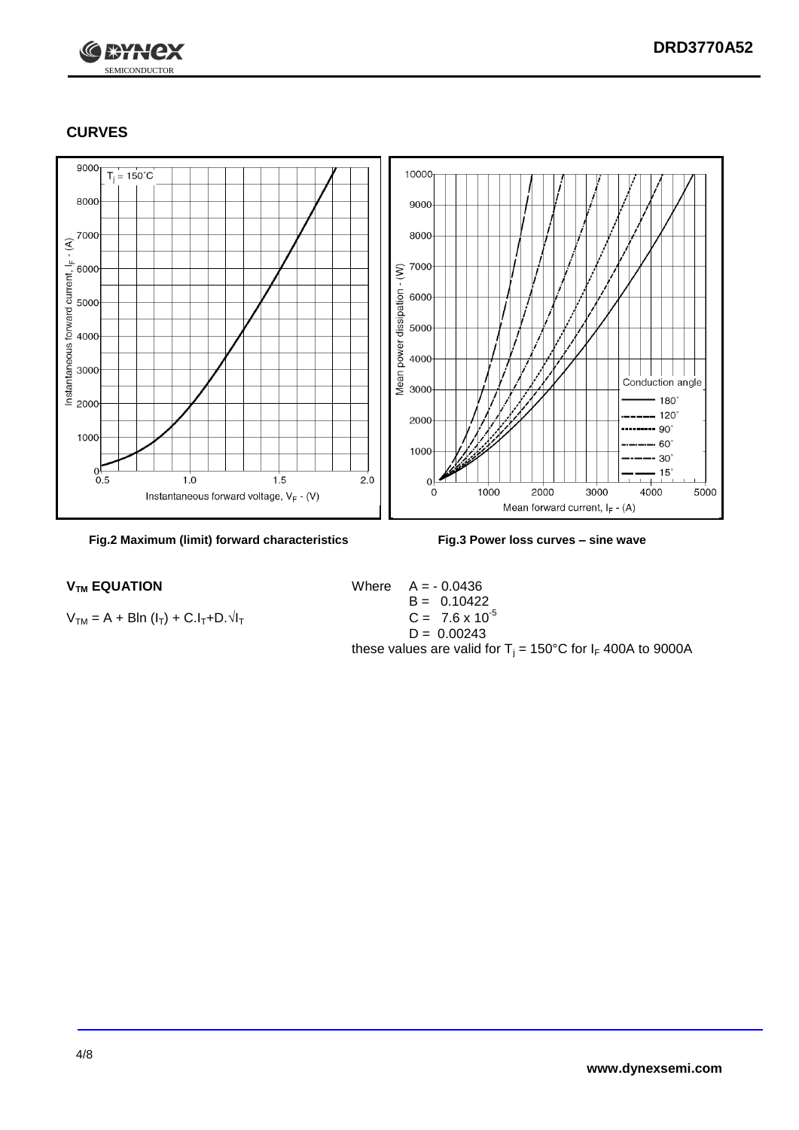

#### **CURVES**

SEMICONDUCTOR

**C SYNCX** 



**Fig.2 Maximum (limit) forward characteristics Fig.3 Power loss curves – sine wave**

 $V_{TM} = A + BIn (I_T) + C.I_T + D.\sqrt{I_T}$ 

 $V_{TM}$  **EQUATION** Where  $A = -0.0436$  $B = 0.10422$ <br>C = 7.6 x 10<sup>-5</sup>  $D = 0.00243$ these values are valid for  $T_j = 150^{\circ}$ C for  $I_F$  400A to 9000A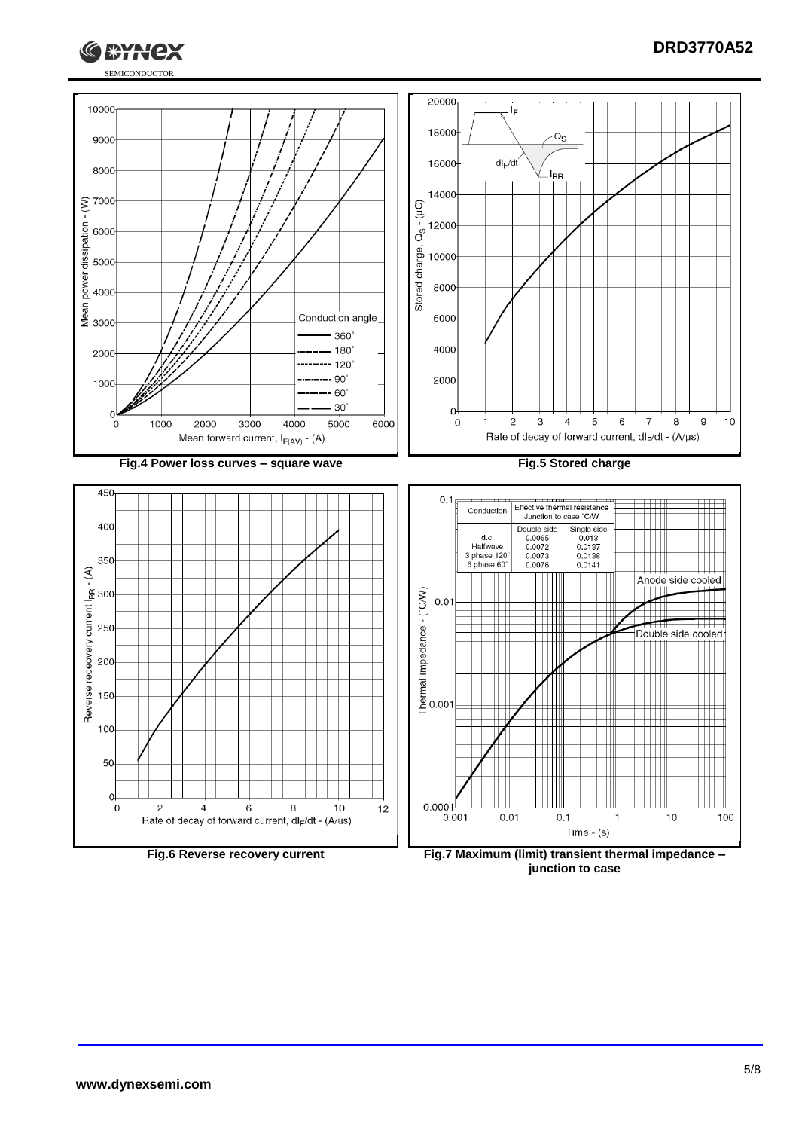



**junction to case**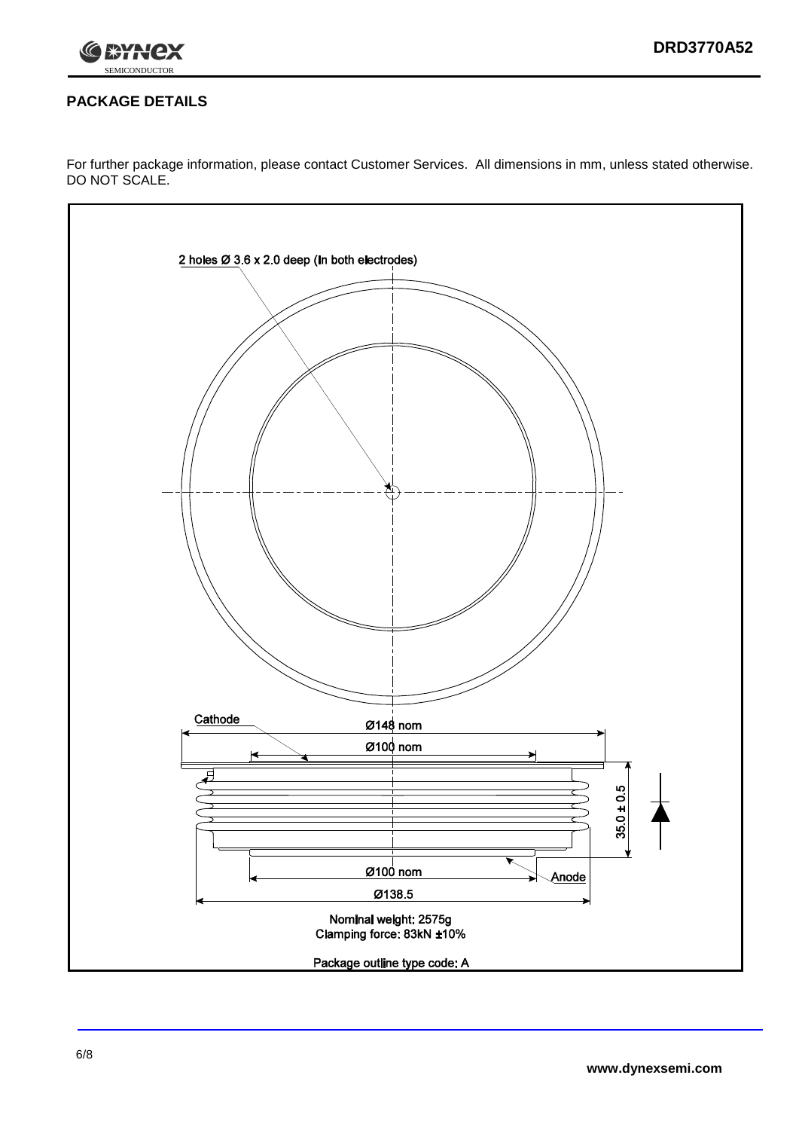

#### **PACKAGE DETAILS**

For further package information, please contact Customer Services. All dimensions in mm, unless stated otherwise. DO NOT SCALE.